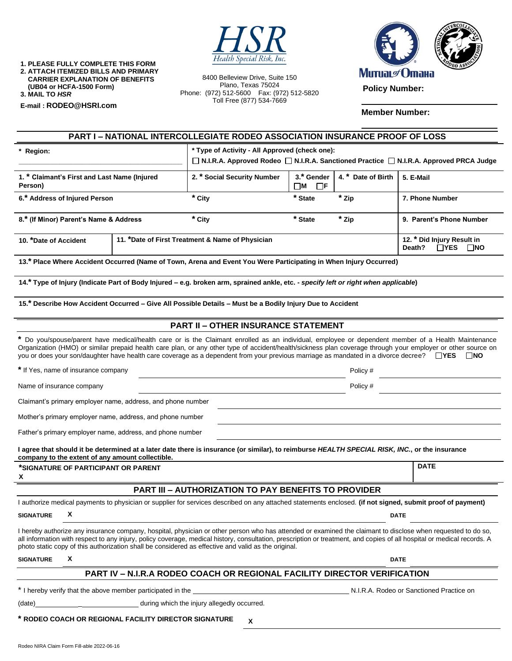

**1. PLEASE FULLY COMPLETE THIS FORM 2. ATTACH ITEMIZED BILLS AND PRIMARY CARRIER EXPLANATION OF BENEFITS (UB04 or HCFA-1500 Form) 3. MAIL TO** *HSR*

**E-mail : [RODEO@HSRI.com](mailto:RODEO@HSRI.com)**

8400 Belleview Drive, Suite 150 Plano, Texas 75024 Phone: (972) 512-5600 Fax: (972) 512-5820 Toll Free (877) 534-7669



**Member Number:**

| <b>PART I - NATIONAL INTERCOLLEGIATE RODEO ASSOCIATION INSURANCE PROOF OF LOSS</b>                                                                                                                                                                                                                                                                                                                                                                                          |                                                                                                         |                                                                                                                                           |                                       |                                                           |                          |  |
|-----------------------------------------------------------------------------------------------------------------------------------------------------------------------------------------------------------------------------------------------------------------------------------------------------------------------------------------------------------------------------------------------------------------------------------------------------------------------------|---------------------------------------------------------------------------------------------------------|-------------------------------------------------------------------------------------------------------------------------------------------|---------------------------------------|-----------------------------------------------------------|--------------------------|--|
| * Region:                                                                                                                                                                                                                                                                                                                                                                                                                                                                   |                                                                                                         | * Type of Activity - All Approved (check one):<br>□ N.I.R.A. Approved Rodeo □ N.I.R.A. Sanctioned Practice □ N.I.R.A. Approved PRCA Judge |                                       |                                                           |                          |  |
| 1. * Claimant's First and Last Name (Injured<br>Person)                                                                                                                                                                                                                                                                                                                                                                                                                     |                                                                                                         | 2. * Social Security Number                                                                                                               | 3.* Gender<br>$\square$ M<br>$\Box$ F | 4. * Date of Birth                                        | 5. E-Mail                |  |
| 6.* Address of Injured Person                                                                                                                                                                                                                                                                                                                                                                                                                                               |                                                                                                         | * City                                                                                                                                    | * State                               | * Zip                                                     | 7. Phone Number          |  |
| 8.* (If Minor) Parent's Name & Address                                                                                                                                                                                                                                                                                                                                                                                                                                      |                                                                                                         | * City                                                                                                                                    | * State                               | * Zip                                                     | 9. Parent's Phone Number |  |
| 11. *Date of First Treatment & Name of Physician<br>10. *Date of Accident                                                                                                                                                                                                                                                                                                                                                                                                   |                                                                                                         |                                                                                                                                           |                                       | 12. * Did Injury Result in<br>Death?<br>$\Box$ YES<br>ΠNO |                          |  |
| 13.* Place Where Accident Occurred (Name of Town, Arena and Event You Were Participating in When Injury Occurred)                                                                                                                                                                                                                                                                                                                                                           |                                                                                                         |                                                                                                                                           |                                       |                                                           |                          |  |
| 14.* Type of Injury (Indicate Part of Body Injured – e.g. broken arm, sprained ankle, etc. - specify left or right when applicable)                                                                                                                                                                                                                                                                                                                                         |                                                                                                         |                                                                                                                                           |                                       |                                                           |                          |  |
| 15.* Describe How Accident Occurred - Give All Possible Details - Must be a Bodily Injury Due to Accident                                                                                                                                                                                                                                                                                                                                                                   |                                                                                                         |                                                                                                                                           |                                       |                                                           |                          |  |
| <b>PART II - OTHER INSURANCE STATEMENT</b>                                                                                                                                                                                                                                                                                                                                                                                                                                  |                                                                                                         |                                                                                                                                           |                                       |                                                           |                          |  |
| * Do you/spouse/parent have medical/health care or is the Claimant enrolled as an individual, employee or dependent member of a Health Maintenance<br>Organization (HMO) or similar prepaid health care plan, or any other type of accident/health/sickness plan coverage through your employer or other source on<br>you or does your son/daughter have health care coverage as a dependent from your previous marriage as mandated in a divorce decree? $\Box$ YES<br>∐NO |                                                                                                         |                                                                                                                                           |                                       |                                                           |                          |  |
| * If Yes, name of insurance company                                                                                                                                                                                                                                                                                                                                                                                                                                         |                                                                                                         |                                                                                                                                           | Policy #                              |                                                           |                          |  |
| Name of insurance company                                                                                                                                                                                                                                                                                                                                                                                                                                                   |                                                                                                         | Policy #                                                                                                                                  |                                       |                                                           |                          |  |
| Claimant's primary employer name, address, and phone number                                                                                                                                                                                                                                                                                                                                                                                                                 |                                                                                                         |                                                                                                                                           |                                       |                                                           |                          |  |
| Mother's primary employer name, address, and phone number                                                                                                                                                                                                                                                                                                                                                                                                                   |                                                                                                         |                                                                                                                                           |                                       |                                                           |                          |  |
| Father's primary employer name, address, and phone number                                                                                                                                                                                                                                                                                                                                                                                                                   |                                                                                                         |                                                                                                                                           |                                       |                                                           |                          |  |
| I agree that should it be determined at a later date there is insurance (or similar), to reimburse HEALTH SPECIAL RISK, INC., or the insurance<br>company to the extent of any amount collectible.                                                                                                                                                                                                                                                                          |                                                                                                         |                                                                                                                                           |                                       |                                                           |                          |  |
| *SIGNATURE OF PARTICIPANT OR PARENT<br>X                                                                                                                                                                                                                                                                                                                                                                                                                                    |                                                                                                         |                                                                                                                                           |                                       |                                                           | <b>DATE</b>              |  |
| <b>PART III - AUTHORIZATION TO PAY BENEFITS TO PROVIDER</b>                                                                                                                                                                                                                                                                                                                                                                                                                 |                                                                                                         |                                                                                                                                           |                                       |                                                           |                          |  |
| I authorize medical payments to physician or supplier for services described on any attached statements enclosed. (if not signed, submit proof of payment)                                                                                                                                                                                                                                                                                                                  |                                                                                                         |                                                                                                                                           |                                       |                                                           |                          |  |
| X<br><b>SIGNATURE</b>                                                                                                                                                                                                                                                                                                                                                                                                                                                       |                                                                                                         | <b>DATE</b>                                                                                                                               |                                       |                                                           |                          |  |
| I hereby authorize any insurance company, hospital, physician or other person who has attended or examined the claimant to disclose when requested to do so,<br>all information with respect to any injury, policy coverage, medical history, consultation, prescription or treatment, and copies of all hospital or medical records. A<br>photo static copy of this authorization shall be considered as effective and valid as the original.                              |                                                                                                         |                                                                                                                                           |                                       |                                                           |                          |  |
| x<br><b>SIGNATURE</b>                                                                                                                                                                                                                                                                                                                                                                                                                                                       |                                                                                                         |                                                                                                                                           |                                       | <b>DATE</b>                                               |                          |  |
|                                                                                                                                                                                                                                                                                                                                                                                                                                                                             |                                                                                                         | <b>PART IV - N.I.R.A RODEO COACH OR REGIONAL FACILITY DIRECTOR VERIFICATION</b>                                                           |                                       |                                                           |                          |  |
|                                                                                                                                                                                                                                                                                                                                                                                                                                                                             | * I hereby verify that the above member participated in the<br>N.I.R.A. Rodeo or Sanctioned Practice on |                                                                                                                                           |                                       |                                                           |                          |  |
| (date)                                                                                                                                                                                                                                                                                                                                                                                                                                                                      |                                                                                                         | during which the injury allegedly occurred.                                                                                               |                                       |                                                           |                          |  |
| * RODEO COACH OR REGIONAL FACILITY DIRECTOR SIGNATURE<br>X                                                                                                                                                                                                                                                                                                                                                                                                                  |                                                                                                         |                                                                                                                                           |                                       |                                                           |                          |  |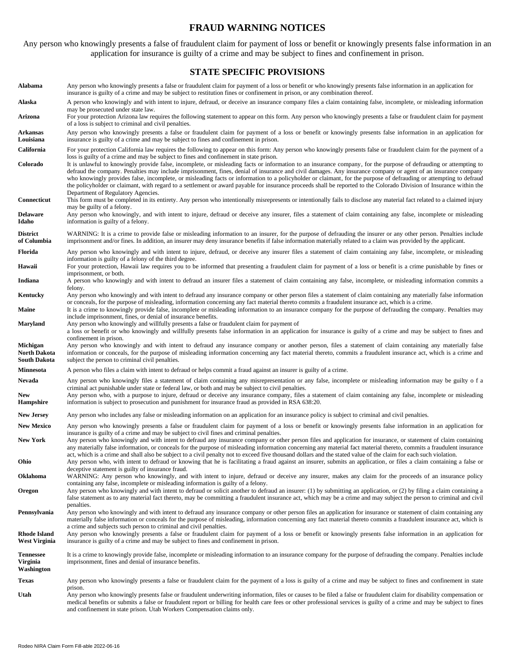# **FRAUD WARNING NOTICES**

Any person who knowingly presents a false of fraudulent claim for payment of loss or benefit or knowingly presents false information in an application for insurance is guilty of a crime and may be subject to fines and confinement in prison.

#### **STATE SPECIFIC PROVISIONS**

**Alabama** Any person who knowingly presents a false or fraudulent claim for payment of a loss or benefit or who knowingly presents false information in an application for insurance is guilty of a crime and may be subject to restitution fines or confinement in prison, or any combination thereof. Alaska A person who knowingly and with intent to injure, defraud, or deceive an insurance company files a claim containing false, incomplete, or misleading information may be prosecuted under state law. **Arizona** For your protection Arizona law requires the following statement to appear on this form. Any person who knowingly presents a false or fraudulent claim for payment of a loss is subject to criminal and civil penalties. **Arkansas Louisiana** Any person who knowingly presents a false or fraudulent claim for payment of a loss or benefit or knowingly presents false information in an application for insurance is guilty of a crime and may be subject to fines and confinement in prison. California For your protection California law requires the following to appear on this form: Any person who knowingly presents false or fraudulent claim for the payment of a loss is guilty of a crime and may be subject to fines and confinement in state prison. **Colorado** It is unlawful to knowingly provide false, incomplete, or misleading facts or information to an insurance company, for the purpose of defrauding or attempting to defraud the company. Penalties may include imprisonment, fines, denial of insurance and civil damages. Any insurance company or agent of an insurance company who knowingly provides false, incomplete, or misleading facts or information to a policyholder or claimant, for the purpose of defrauding or attempting to defraud the policyholder or claimant, with regard to a settlement or award payable for insurance proceeds shall be reported to the Colorado Division of Insurance within the Department of Regulatory Agencies. **Connecticut** This form must be completed in its entirety. Any person who intentionally misrepresents or intentionally fails to disclose any material fact related to a claimed injury may be guilty of a felony. **Delaware Idaho** Any person who knowingly, and with intent to injure, defraud or deceive any insurer, files a statement of claim containing any false, incomplete or misleading information is guilty of a felony. **District of Columbia** WARNING: It is a crime to provide false or misleading information to an insurer, for the purpose of defrauding the insurer or any other person. Penalties include imprisonment and/or fines. In addition, an insurer may deny insurance benefits if false information materially related to a claim was provided by the applicant. Florida Any person who knowingly and with intent to injure, defraud, or deceive any insurer files a statement of claim containing any false, incomplete, or misleading information is guilty of a felony of the third degree. Hawaii For your protection, Hawaii law requires you to be informed that presenting a fraudulent claim for payment of a loss or benefit is a crime punishable by fines or imprisonment, or both. Indiana A person who knowingly and with intent to defraud an insurer files a statement of claim containing any false, incomplete, or misleading information commits a felony. **Kentucky** Any person who knowingly and with intent to defraud any insurance company or other person files a statement of claim containing any materially false information or conceals, for the purpose of misleading, information concerning any fact material thereto commits a fraudulent insurance act, which is a crime. Maine It is a crime to knowingly provide false, incomplete or misleading information to an insurance company for the purpose of defrauding the company. Penalties may include imprisonment, fines, or denial of insurance benefits. **Maryland** Any person who knowingly and willfully presents a false or fraudulent claim for payment of a loss or benefit or who knowingly and willfully presents false information in an application for insurance is guilty of a crime and may be subject to fines and confinement in prison. **Michigan North Dakota South Dakota**  Any person who knowingly and with intent to defraud any insurance company or another person, files a statement of claim containing any materially false information or conceals, for the purpose of misleading information concerning any fact material thereto, commits a fraudulent insurance act, which is a crime and subject the person to criminal civil penalties. **Minnesota** A person who files a claim with intent to defraud or helps commit a fraud against an insurer is guilty of a crime. Nevada Any person who knowingly files a statement of claim containing any misrepresentation or any false, incomplete or misleading information may be guilty o f a criminal act punishable under state or federal law, or both and may be subject to civil penalties. **New Hampshire** Any person who, with a purpose to injure, defraud or deceive any insurance company, files a statement of claim containing any false, incomplete or misleading information is subject to prosecution and punishment for insurance fraud as provided in RSA 638:20. **New Jersey** Any person who includes any false or misleading information on an application for an insurance policy is subject to criminal and civil penalties. New Mexico Any person who knowingly presents a false or fraudulent claim for payment of a loss or benefit or knowingly presents false information in an application for insurance is guilty of a crime and may be subject to civil fines and criminal penalties. New York Any person who knowingly and with intent to defraud any insurance company or other person files and application for insurance, or statement of claim containing any materially false information, or conceals for the purpose of misleading information concerning any material fact material thereto, commits a fraudulent insurance act, which is a crime and shall also be subject to a civil penalty not to exceed five thousand dollars and the stated value of the claim for each such violation. **Ohio** Any person who, with intent to defraud or knowing that he is facilitating a fraud against an insurer, submits an application, or files a claim containing a false or deceptive statement is guilty of insurance fraud. **Oklahoma** WARNING: Any person who knowingly, and with intent to injure, defraud or deceive any insurer, makes any claim for the proceeds of an insurance policy containing any false, incomplete or misleading information is guilty of a felony. **Oregon** Any person who knowingly and with intent to defraud or solicit another to defraud an insurer: (1) by submitting an application, or (2) by filing a claim containing a false statement as to any material fact thereto, may be committing a fraudulent insurance act, which may be a crime and may subject the person to criminal and civil penalties. Pennsylvania Any person who knowingly and with intent to defraud any insurance company or other person files an application for insurance or statement of claim containing any materially false information or conceals for the purpose of misleading, information concerning any fact material thereto commits a fraudulent insurance act, which is a crime and subjects such person to criminal and civil penalties. **Rhode Island West Virginia** Any person who knowingly presents a false or fraudulent claim for payment of a loss or benefit or knowingly presents false information in an application for insurance is guilty of a crime and may be subject to fines and confinement in prison. **Tennessee Virginia Washington** It is a crime to knowingly provide false, incomplete or misleading information to an insurance company for the purpose of defrauding the company. Penalties include imprisonment, fines and denial of insurance benefits. **Texas** Any person who knowingly presents a false or fraudulent claim for the payment of a loss is guilty of a crime and may be subject to fines and confinement in state prison. **Utah** Any person who knowingly presents false or fraudulent underwriting information, files or causes to be filed a false or fraudulent claim for disability compensation or medical benefits or submits a false or fraudulent report or billing for health care fees or other professional services is guilty of a crime and may be subject to fines and confinement in state prison. Utah Workers Compensation claims only.